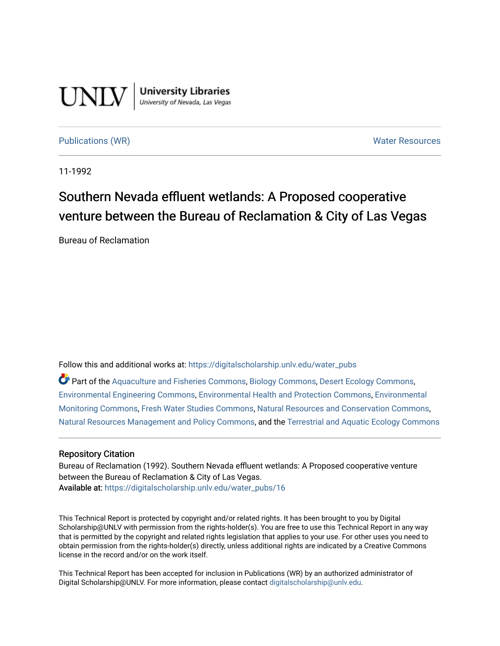

**University Libraries**<br>University of Nevada, Las Vegas

[Publications \(WR\)](https://digitalscholarship.unlv.edu/water_pubs) Notifiable Resources and Mater Resources and Mater Resources

11-1992

## Southern Nevada effluent wetlands: A Proposed cooperative venture between the Bureau of Reclamation & City of Las Vegas

Bureau of Reclamation

Follow this and additional works at: [https://digitalscholarship.unlv.edu/water\\_pubs](https://digitalscholarship.unlv.edu/water_pubs?utm_source=digitalscholarship.unlv.edu%2Fwater_pubs%2F16&utm_medium=PDF&utm_campaign=PDFCoverPages) 

Part of the [Aquaculture and Fisheries Commons](http://network.bepress.com/hgg/discipline/78?utm_source=digitalscholarship.unlv.edu%2Fwater_pubs%2F16&utm_medium=PDF&utm_campaign=PDFCoverPages), [Biology Commons](http://network.bepress.com/hgg/discipline/41?utm_source=digitalscholarship.unlv.edu%2Fwater_pubs%2F16&utm_medium=PDF&utm_campaign=PDFCoverPages), [Desert Ecology Commons,](http://network.bepress.com/hgg/discipline/1261?utm_source=digitalscholarship.unlv.edu%2Fwater_pubs%2F16&utm_medium=PDF&utm_campaign=PDFCoverPages) [Environmental Engineering Commons](http://network.bepress.com/hgg/discipline/254?utm_source=digitalscholarship.unlv.edu%2Fwater_pubs%2F16&utm_medium=PDF&utm_campaign=PDFCoverPages), [Environmental Health and Protection Commons,](http://network.bepress.com/hgg/discipline/172?utm_source=digitalscholarship.unlv.edu%2Fwater_pubs%2F16&utm_medium=PDF&utm_campaign=PDFCoverPages) [Environmental](http://network.bepress.com/hgg/discipline/931?utm_source=digitalscholarship.unlv.edu%2Fwater_pubs%2F16&utm_medium=PDF&utm_campaign=PDFCoverPages)  [Monitoring Commons,](http://network.bepress.com/hgg/discipline/931?utm_source=digitalscholarship.unlv.edu%2Fwater_pubs%2F16&utm_medium=PDF&utm_campaign=PDFCoverPages) [Fresh Water Studies Commons,](http://network.bepress.com/hgg/discipline/189?utm_source=digitalscholarship.unlv.edu%2Fwater_pubs%2F16&utm_medium=PDF&utm_campaign=PDFCoverPages) [Natural Resources and Conservation Commons,](http://network.bepress.com/hgg/discipline/168?utm_source=digitalscholarship.unlv.edu%2Fwater_pubs%2F16&utm_medium=PDF&utm_campaign=PDFCoverPages) [Natural Resources Management and Policy Commons,](http://network.bepress.com/hgg/discipline/170?utm_source=digitalscholarship.unlv.edu%2Fwater_pubs%2F16&utm_medium=PDF&utm_campaign=PDFCoverPages) and the [Terrestrial and Aquatic Ecology Commons](http://network.bepress.com/hgg/discipline/20?utm_source=digitalscholarship.unlv.edu%2Fwater_pubs%2F16&utm_medium=PDF&utm_campaign=PDFCoverPages) 

#### Repository Citation

Bureau of Reclamation (1992). Southern Nevada effluent wetlands: A Proposed cooperative venture between the Bureau of Reclamation & City of Las Vegas. Available at: [https://digitalscholarship.unlv.edu/water\\_pubs/16](https://digitalscholarship.unlv.edu/water_pubs/16) 

This Technical Report is protected by copyright and/or related rights. It has been brought to you by Digital Scholarship@UNLV with permission from the rights-holder(s). You are free to use this Technical Report in any way that is permitted by the copyright and related rights legislation that applies to your use. For other uses you need to obtain permission from the rights-holder(s) directly, unless additional rights are indicated by a Creative Commons license in the record and/or on the work itself.

This Technical Report has been accepted for inclusion in Publications (WR) by an authorized administrator of Digital Scholarship@UNLV. For more information, please contact [digitalscholarship@unlv.edu](mailto:digitalscholarship@unlv.edu).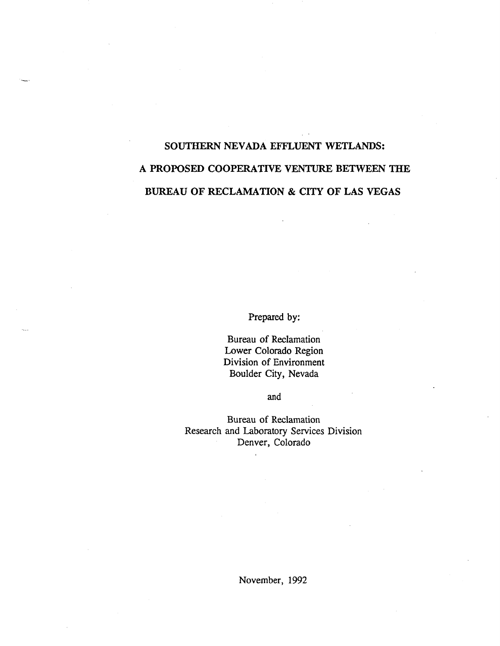# **SOUTHERN NEVADA EFFLUENT WETLANDS: A PROPOSED COOPERATIVE VENTURE BETWEEN THE BUREAU OF RECLAMATION & CITY OF LAS VEGAS**

Prepared by:

Bureau of Reclamation Lower Colorado Region Division of Environment Boulder City, Nevada

and

Bureau of Reclamation Research and Laboratory Services Division Denver, Colorado

November, 1992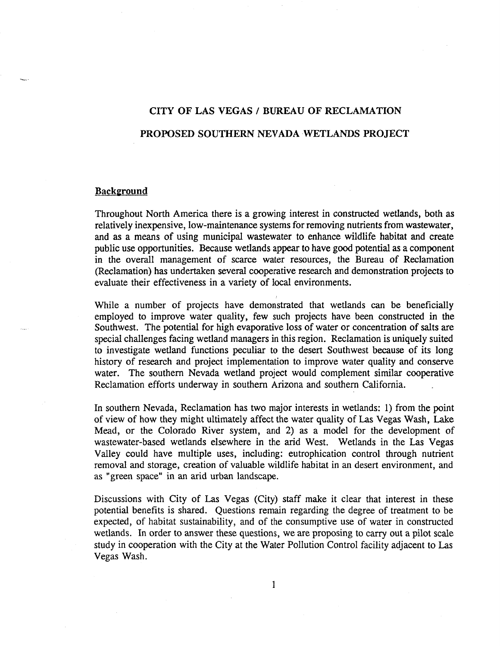## **CITY OF LAS VEGAS / BUREAU OF RECLAMATION PROPOSED SOUTHERN NEVADA WETLANDS PROJECT**

## **Background**

Throughout North America there is a growing interest in constructed wetlands, both as relatively inexpensive, low-maintenance systems for removing nutrients from wastewater, and as a means of using municipal wastewater to enhance wildlife habitat and create public use opportunities. Because wetlands appear to have good potential as a component in the overall management of scarce water resources, the Bureau of Reclamation (Reclamation) has undertaken several cooperative research and demonstration projects to evaluate their effectiveness in a variety of local environments.

While a number of projects have demonstrated that wetlands can be beneficially employed to improve water quality, few such projects have been constructed in the Southwest. The potential for high evaporative loss of water or concentration of salts are special challenges facing wetland managers in this region. Reclamation is uniquely suited to investigate wetland functions peculiar to the desert Southwest because of its long history of research and project implementation to improve water quality and conserve water. The southern Nevada wetland project would complement similar cooperative Reclamation efforts underway in southern Arizona and southern California.

In southern Nevada, Reclamation has two major interests in wetlands: 1) from the point of view of how they might ultimately affect the water quality of Las Vegas Wash, Lake Mead, or the Colorado River system, and 2) as a model for the development of wastewater-based wetlands elsewhere in the arid West. Wetlands in the Las Vegas Valley could have multiple uses, including: eutrophication control through nutrient removal and storage, creation of valuable wildlife habitat in an desert environment, and as "green space" in an arid urban landscape.

Discussions with City of Las Vegas (City) staff make it clear that interest in these potential benefits is shared. Questions remain regarding the degree of treatment to be expected, of habitat sustainability, and of the consumptive use of water in constructed wetlands. In order to answer these questions, we are proposing to carry out a pilot scale study in cooperation with the City at the Water Pollution Control facility adjacent to Las Vegas Wash.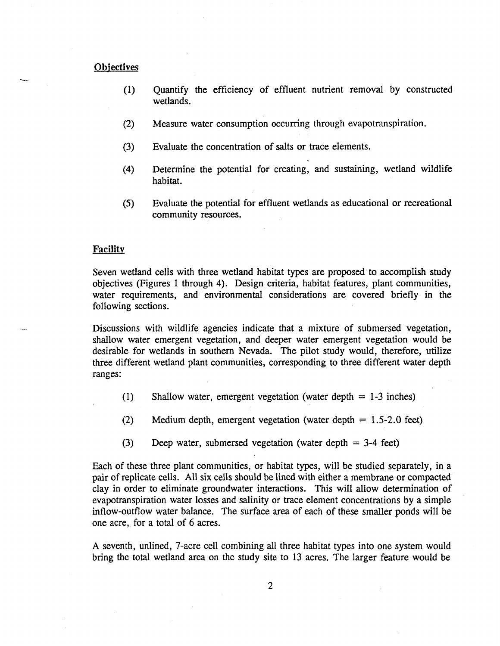#### **Objectives**

- (1) Quantify the efficiency of effluent nutrient removal by constructed wetlands.
- (2) Measure water consumption occurring through evapotranspiration.
- (3) Evaluate the concentration of salts or trace elements.
- (4) Determine the potential for creating, and sustaining, wetland wildlife habitat.
- (5) Evaluate the potential for effluent wetlands as educational or recreational community resources.

## **Facility**

Seven wetland cells with three wetland habitat types are proposed to accomplish study objectives (Figures 1 through 4). Design criteria, habitat features, plant communities, water requirements, and environmental considerations are covered briefly in the following sections.

Discussions with wildlife agencies indicate that a mixture of submersed vegetation, shallow water emergent vegetation, and deeper water emergent vegetation would be desirable for wetlands in southern Nevada. The pilot study would, therefore, utilize three different wetland plant communities, corresponding to three different water depth ranges:

- (1) Shallow water, emergent vegetation (water depth = 1-3 inches)
- (2) Medium depth, emergent vegetation (water depth = 1.5-2.0 feet)
- (3) Deep water, submersed vegetation (water depth = 3-4 feet)

Each of these three plant communities, or habitat types, will be studied separately, in a pair of replicate cells. All six cells should be lined with either a membrane or compacted clay in order to eliminate groundwater interactions. This will allow determination of evapotranspiration water losses and salinity or trace element concentrations by a simple inflow-outflow water balance. The surface area of each of these smaller ponds will be one acre, for a total of 6 acres.

A seventh, unlined, 7-acre cell combining all three habitat types into one system would bring the total wetland area on the study site to 13 acres. The larger feature would be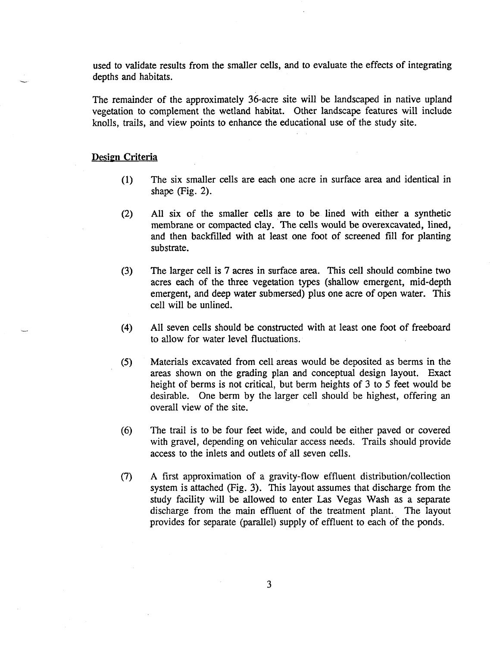used to validate results from the smaller cells, and to evaluate the effects of integrating depths and habitats.

The remainder of the approximately 36-acre site will be landscaped in native upland vegetation to complement the wetland habitat. Other landscape features will include knolls, trails, and view points to enhance the educational use of the study site.

## **Design Criteria**

- (1) The six smaller cells are each one acre in surface area and identical in shape (Fig. 2).
- (2) All six of the smaller cells are to be lined with either a synthetic membrane or compacted clay. The cells would be overexcavated, lined, and then backfilled with at least one foot of screened fill for planting substrate.
- (3) The larger cell is 7 acres in surface area. This cell should combine two acres each of the three vegetation types (shallow emergent, mid-depth emergent, and deep water submersed) plus one acre of open water. This cell will be unlined.
- (4) All seven cells should be constructed with at least one foot of freeboard to allow for water level fluctuations.
- (5) Materials excavated from cell areas would be deposited as berms in the areas shown on the grading plan and conceptual design layout. Exact height of berms is not critical, but berm heights of 3 to 5 feet would be desirable. One berm by the larger cell should be highest, offering an overall view of the site.
- (6) The trail is to be four feet wide, and could be either paved or covered with gravel, depending on vehicular access needs. Trails should provide access to the inlets and outlets of all seven cells.
- (7) A first approximation of a gravity-flow effluent distribution/collection system is attached (Fig. 3). This layout assumes that discharge from the study facility will be allowed to enter Las Vegas Wash as a separate discharge from the main effluent of the treatment plant. The layout provides for separate (parallel) supply of effluent to each of the ponds.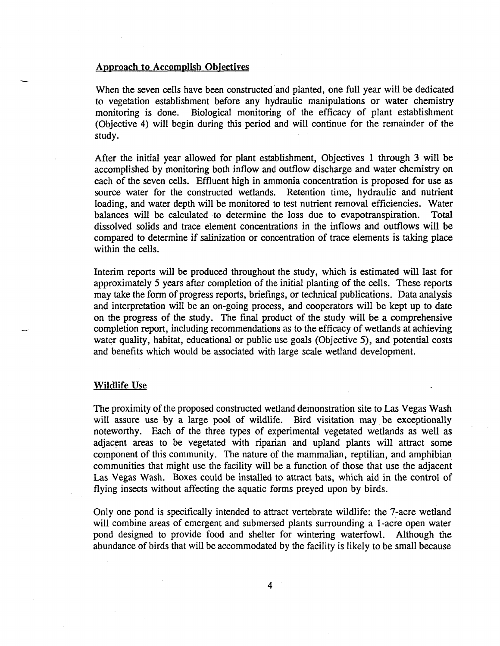## Approach to Accomplish Objectives

When the seven cells have been constructed and planted, one full year will be dedicated to vegetation establishment before any hydraulic manipulations or water chemistry monitoring is done. Biological monitoring of the efficacy of plant establishment (Objective 4) will begin during this period and will continue for the remainder of the study.

After the initial year allowed for plant establishment, Objectives 1 through 3 will be accomplished by monitoring both inflow and outflow discharge and water chemistry on each of the seven cells. Effluent high in ammonia concentration is proposed for use as source water for the constructed wetlands. Retention time, hydraulic and nutrient loading, and water depth will be monitored to test nutrient removal efficiencies. Water balances will be calculated to determine the loss due to evapotranspiration. Total dissolved solids and trace element concentrations in the inflows and outflows will be compared to determine if salinization or concentration of trace elements is taking place within the cells.

Interim reports will be produced throughout the study, which is estimated will last for approximately 5 years after completion of the initial planting of the cells. These reports may take the form of progress reports, briefings, or technical publications. Data analysis and interpretation will be an on-going process, and cooperators will be kept up to date on the progress of the study. The final product of the study will be a comprehensive completion report, including recommendations as to the efficacy of wetlands at achieving water quality, habitat, educational or public use goals (Objective 5), and potential costs and benefits which would be associated with large scale wetland development.

#### Wildlife Use

The proximity of the proposed constructed wetland demonstration site to Las Vegas Wash will assure use by a large pool of wildlife. Bird visitation may be exceptionally noteworthy. Each of the three types of experimental vegetated wetlands as well as adjacent areas to be vegetated with riparian and upland plants will attract some component of this community. The nature of the mammalian, reptilian, and amphibian communities that might use the facility will be a function of those that use the adjacent Las Vegas Wash. Boxes could be installed to attract bats, which aid in the control of flying insects without affecting the aquatic forms preyed upon by birds.

Only one pond is specifically intended to attract vertebrate wildlife: the 7-acre wetland will combine areas of emergent and submersed plants surrounding a 1-acre open water pond designed to provide food and shelter for wintering waterfowl. Although the abundance of birds that will be accommodated by the facility is likely to be small because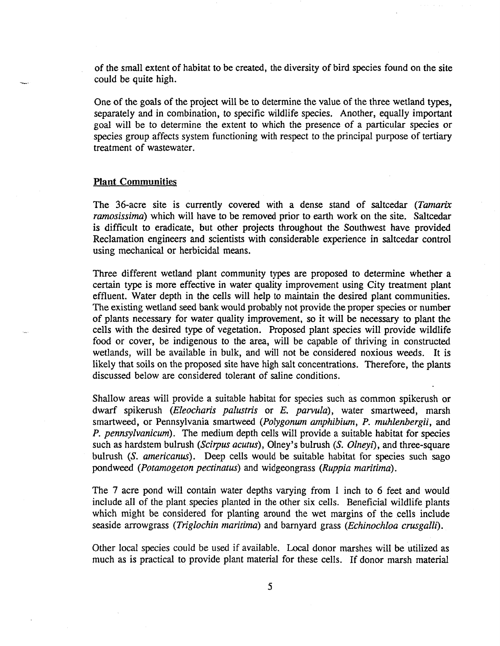of the small extent of habitat to be created, the diversity of bird species found on the site could be quite high.

One of the goals of the project will be to determine the value of the three wetland types, separately and in combination, to specific wildlife species. Another, equally important goal will be to determine the extent to which the presence of a particular species or species group affects system functioning with respect to the principal purpose of tertiary treatment of wastewater.

#### **Plant Communities**

The 36-acre site is currently covered with a dense stand of saltcedar *(Tamarix ramosissima)* which will have to be removed prior to earth work on the site. Saltcedar is difficult to eradicate, but other projects throughout the Southwest have provided Reclamation engineers and scientists with considerable experience in saltcedar control using mechanical or herbicidal means.

Three different wetland plant community types are proposed to determine whether a certain type is more effective in water quality improvement using City treatment plant effluent. Water depth in the cells will help to maintain the desired plant communities. The existing wetland seed bank would probably not provide the proper species or number of plants necessary for water quality improvement, so it will be necessary to plant the cells with the desired type of vegetation. Proposed plant species will provide wildlife food or cover, be indigenous to the area, will be capable of thriving in constructed wetlands, will be available in bulk, and will not be considered noxious weeds. It is likely that soils on the proposed site have high salt concentrations. Therefore, the plants discussed below are considered tolerant of saline conditions.

Shallow areas will provide a suitable habitat for species such as common spikerush or dwarf spikerush *(Eleocharis palustris* or *E. parvula),* water smartweed, marsh smartweed, or Pennsylvania smartweed *(Polygonum amphibium, P. muhlenbergii,* and *P. pennsylvanicum).* The medium depth cells will provide a suitable habitat for species such as hardstem bulrush *(Scirpus acutus),* Olney's bulrush *(S. Olneyi),* and three-square bulrush *(S. americanus).* Deep cells would be suitable habitat for species such sago pondweed *(Potamogeton pectinatus)* and widgeongrass *(Ruppia maritimd).*

The 7 acre pond will contain water depths varying from 1 inch to 6 feet and would include all of the plant species planted in the other six cells. Beneficial wildlife plants which might be considered for planting around the wet margins of the cells include seaside arrowgrass *(Triglochin maritimd)* and barnyard grass *(Echinochloa crusgalli).*

Other local species could be used if available. Local donor marshes will be utilized as much as is practical to provide plant material for these cells. If donor marsh material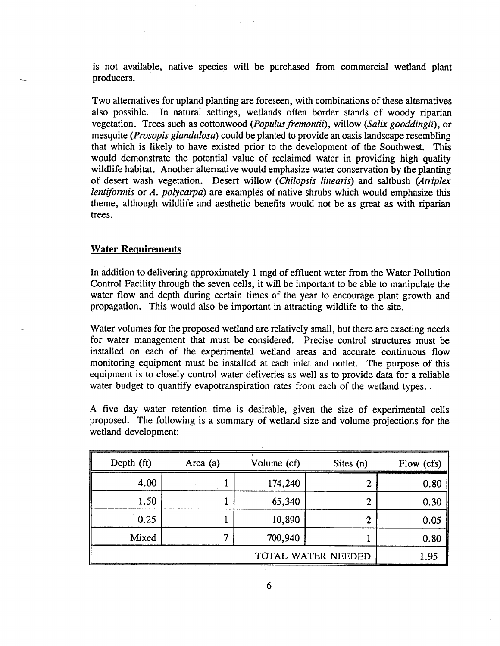is not available, native species will be purchased from commercial wetland plant producers.

Two alternatives for upland planting are foreseen, with combinations of these alternatives also possible. In natural settings, wetlands often border stands of woody riparian vegetation. Trees such as cottonwood (Populus fremontii), willow (Salix gooddingii), or mesquite *(Prosopis glandulosa)* could be planted to provide an oasis landscape resembling that which is likely to have existed prior to the development of the Southwest. This would demonstrate the potential value of reclaimed water in providing high quality wildlife habitat. Another alternative would emphasize water conservation by the planting of desert wash vegetation. Desert willow *(Chilopsis linearis)* and saltbush *(Atriplex lentiformis* or *A. polycarpa)* are examples of native shrubs which would emphasize this theme, although wildlife and aesthetic benefits would not be as great as with riparian trees.

## **Water Requirements**

In addition to delivering approximately 1 mgd of effluent water from the Water Pollution Control Facility through the seven cells, it will be important to be able to manipulate the water flow and depth during certain times of the year to encourage plant growth and propagation. This would also be important in attracting wildlife to the site.

Water volumes for the proposed wetland are relatively small, but there are exacting needs for water management that must be considered. Precise control structures must be installed on each of the experimental wetland areas and accurate continuous flow monitoring equipment must be installed at each inlet and outlet. The purpose of this equipment is to closely control water deliveries as well as to provide data for a reliable water budget to quantify evapotranspiration rates from each of the wetland types.

A five day water retention time is desirable, given the size of experimental cells proposed. The following is a summary of wetland size and volume projections for the wetland development:

| Depth (ft) | Area (a) | Volume (cf) | Sites $(n)$    | Flow (cfs) |
|------------|----------|-------------|----------------|------------|
| 4.00       |          | 174,240     | 2              | 0.80       |
| 1.50       |          | 65,340      | 2              | 0.30       |
| 0.25       |          | 10,890      | $\overline{2}$ | 0.05       |
| Mixed      |          | 700,940     |                | 0.80       |
|            | 1.95     |             |                |            |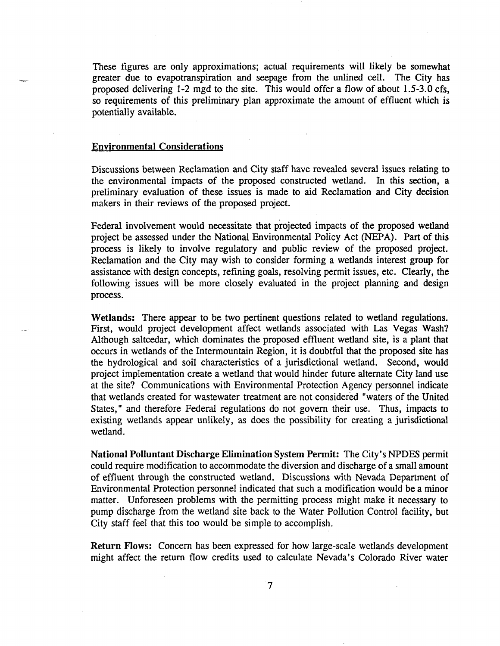These figures are only approximations; actual requirements will likely be somewhat greater due to evapotranspiration and seepage from the unlined cell. The City has proposed delivering 1-2 mgd to the site. This would offer a flow of about 1.5-3.0 cfs, so requirements of this preliminary plan approximate the amount of effluent which is potentially available.

#### **Environmental Considerations**

Discussions between Reclamation and City staff have revealed several issues relating to the environmental impacts of the proposed constructed wetland. In this section, a preliminary evaluation of these issues is made to aid Reclamation and City decision makers in their reviews of the proposed project.

Federal involvement would necessitate that projected impacts of the proposed wetland project be assessed under the National Environmental Policy Act (NEPA). Part of this process is likely to involve regulatory and public review of the proposed project. Reclamation and the City may wish to consider forming a wetlands interest group for assistance with design concepts, refining goals, resolving permit issues, etc. Clearly, the following issues will be more closely evaluated in the project planning and design process.

**Wetlands:** There appear to be two pertinent questions related to wetland regulations. First, would project development affect wetlands associated with Las Vegas Wash? Although saltcedar, which dominates the proposed effluent wetland site, is a plant that occurs in wetlands of the Intermountain Region, it is doubtful that the proposed site has the hydrological and soil characteristics of a jurisdictional wetland. Second, would project implementation create a wetland that would hinder future alternate City land use at the site? Communications with Environmental Protection Agency personnel indicate that wetlands created for wastewater treatment are not considered "waters of the United States," and therefore Federal regulations do not govern their use. Thus, impacts to existing wetlands appear unlikely, as does the possibility for creating a jurisdictional wetland.

**National Polluntant Discharge Elimination System Permit:** The City's NPDES permit could require modification to accommodate the diversion and discharge of a small amount of effluent through the constructed wetland. Discussions with Nevada Department of Environmental Protection personnel indicated that such a modification would be a minor matter. Unforeseen problems with the permitting process might make it necessary to pump discharge from the wetland site back to the Water Pollution Control facility, but City staff feel that this too would be simple to accomplish.

**Return** Flows: Concern has been expressed for how large-scale wetlands development might affect the return flow credits used to calculate Nevada's Colorado River water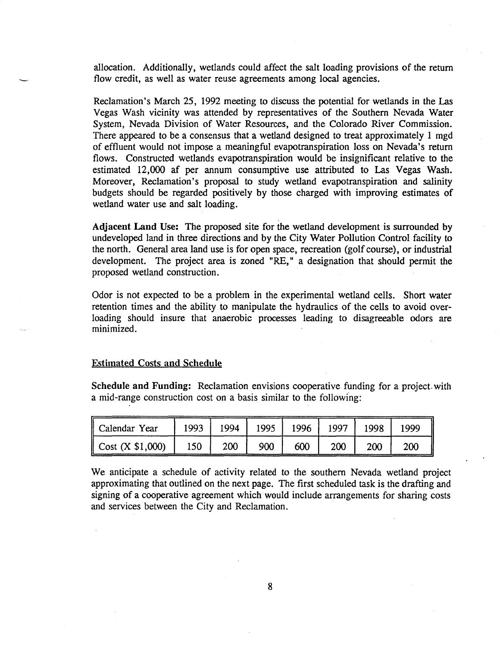allocation. Additionally, wetlands could affect the salt loading provisions of the return flow credit, as well as water reuse agreements among local agencies.

Reclamation's March 25, 1992 meeting to discuss the potential for wetlands in the Las Vegas Wash vicinity was attended by representatives of the Southern Nevada Water System, Nevada Division of Water Resources, and the Colorado River Commission. There appeared to be a consensus that a wetland designed to treat approximately 1 mgd of effluent would not impose a meaningful evapotranspiration loss on Nevada's return flows. Constructed wetlands evapotranspiration would be insignificant relative to the estimated 12,000 af per annum consumptive use attributed to Las Vegas Wash. Moreover, Reclamation's proposal to study wetland evapotranspiration and salinity budgets should be regarded positively by those charged with improving estimates of wetland water use and salt loading.

Adjacent Land Use: The proposed site for the wetland development is surrounded by undeveloped land in three directions and by the City Water Pollution Control facility to the north. General area land use is for open space, recreation (golf course), or industrial development. The project area is zoned "RE," a designation that should permit the proposed wetland construction.

Odor is not expected to be a problem in the experimental wetland cells. Short water retention times and the ability to manipulate the hydraulics of the cells to avoid over loading should insure that anaerobic processes leading to disagreeable odors are minimized.

## Estimated Costs and Schedule

Schedule and Funding: Reclamation envisions cooperative funding for a project, with a mid-range construction cost on a basis similar to the following:

| Calendar Year                 | 1993 | 1994 | 1995 | 1996 | 1997 | 1998 | 1999 |
|-------------------------------|------|------|------|------|------|------|------|
| $\mathbf C$ Cost $(X $1,000)$ | 150  | 200  | 900  | 600  | 200  | 200  | 200  |

We anticipate a schedule of activity related to the southern Nevada wetland project approximating that outlined on the next page. The first scheduled task is the drafting and signing of a cooperative agreement which would include arrangements for sharing costs and services between the City and Reclamation.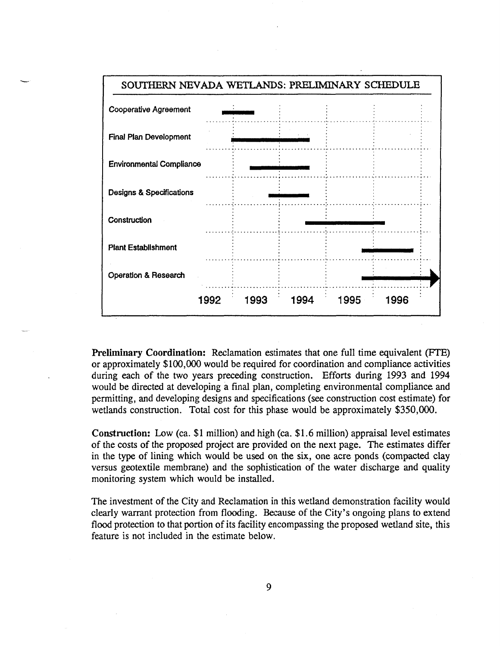

**Preliminary Coordination:** Reclamation estimates that one full time equivalent (FTE) or approximately \$100,000 would be required for coordination and compliance activities during each of the two years preceding construction. Efforts during 1993 and 1994 would be directed at developing a final plan, completing environmental compliance and permitting, and developing designs and specifications (see construction cost estimate) for wetlands construction. Total cost for this phase would be approximately \$350,000.

**Construction:** Low (ca. \$1 million) and high (ca. \$1.6 million) appraisal level estimates of the costs of the proposed project are provided on the next page. The estimates differ in the type of lining which would be used on the six, one acre ponds (compacted clay versus geotextile membrane) and the sophistication of the water discharge and quality monitoring system which would be installed.

The investment of the City and Reclamation in this wetland demonstration facility would clearly warrant protection from flooding. Because of the City's ongoing plans to extend flood protection to that portion of its facility encompassing the proposed wetland site, this feature is not included in the estimate below.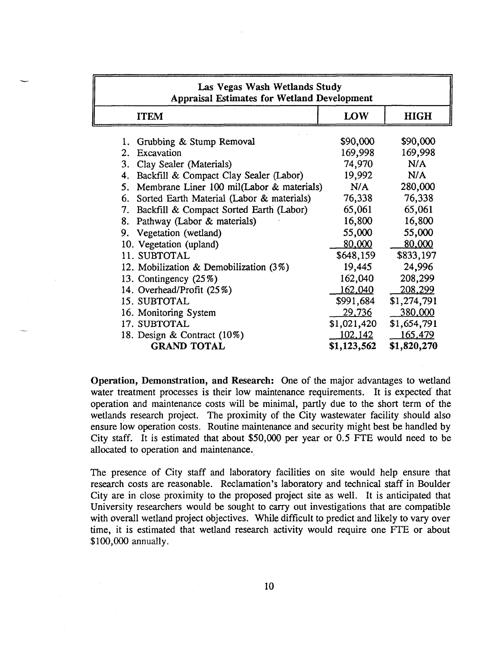| Las Vegas Wash Wetlands Study<br><b>Appraisal Estimates for Wetland Development</b>                                                                                                                                                                                                                                                                                                                                                                       |                                                                                                                                    |                                                                                                                                  |  |  |  |  |  |
|-----------------------------------------------------------------------------------------------------------------------------------------------------------------------------------------------------------------------------------------------------------------------------------------------------------------------------------------------------------------------------------------------------------------------------------------------------------|------------------------------------------------------------------------------------------------------------------------------------|----------------------------------------------------------------------------------------------------------------------------------|--|--|--|--|--|
| <b>ITEM</b>                                                                                                                                                                                                                                                                                                                                                                                                                                               | LOW                                                                                                                                | <b>HIGH</b>                                                                                                                      |  |  |  |  |  |
| 1. Grubbing & Stump Removal<br>Excavation<br>$2 -$<br>3. Clay Sealer (Materials)<br>4. Backfill & Compact Clay Sealer (Labor)<br>5. Membrane Liner 100 mil(Labor & materials)<br>6. Sorted Earth Material (Labor & materials)<br>7. Backfill & Compact Sorted Earth (Labor)<br>8. Pathway (Labor & materials)<br>9. Vegetation (wetland)<br>10. Vegetation (upland)<br>11. SUBTOTAL<br>12. Mobilization & Demobilization $(3\%)$<br>13. Contingency (25%) | \$90,000<br>169,998<br>74,970<br>19,992<br>N/A<br>76,338<br>65,061<br>16,800<br>55,000<br>80,000<br>\$648,159<br>19,445<br>162,040 | \$90,000<br>169,998<br>N/A<br>N/A<br>280,000<br>76,338<br>65,061<br>16,800<br>55,000<br>80,000<br>\$833,197<br>24,996<br>208,299 |  |  |  |  |  |
| 14. Overhead/Profit (25%)<br>15. SUBTOTAL                                                                                                                                                                                                                                                                                                                                                                                                                 | 162,040<br>\$991,684                                                                                                               | 208,299<br>\$1,274,791                                                                                                           |  |  |  |  |  |
| 16. Monitoring System<br>17. SUBTOTAL<br>18. Design & Contract (10%)<br><b>GRAND TOTAL</b>                                                                                                                                                                                                                                                                                                                                                                | 29,736<br>\$1,021,420<br>102,142<br>\$1,123,562                                                                                    | 380,000<br>\$1,654,791<br>165,479<br>\$1,820,270                                                                                 |  |  |  |  |  |

**Operation, Demonstration, and Research:** One of the major advantages to wetland water treatment processes is their low maintenance requirements. It is expected that operation and maintenance costs will be minimal, partly due to the short term of the wetlands research project. The proximity of the City wastewater facility should also ensure low operation costs. Routine maintenance and security might best be handled by City staff. It is estimated that about \$50,000 per year or 0.5 FTE would need to be allocated to operation and maintenance.

The presence of City staff and laboratory facilities on site would help ensure that research costs are reasonable. Reclamation's laboratory and technical staff in Boulder City are in close proximity to the proposed project site as well. It is anticipated that University researchers would be sought to cany out investigations that are compatible with overall wetland project objectives. While difficult to predict and likely to vary over time, it is estimated that wetland research activity would require one FTE or about \$100,000 annually.